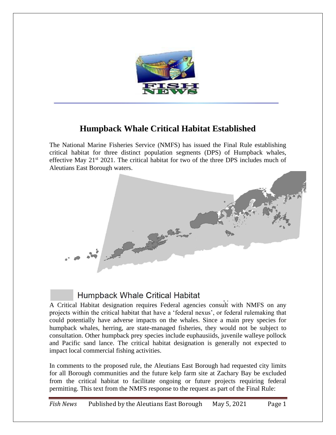

## **Humpback Whale Critical Habitat Established**

The National Marine Fisheries Service (NMFS) has issued the Final Rule establishing critical habitat for three distinct population segments (DPS) of Humpback whales, effective May  $21<sup>st</sup> 2021$ . The critical habitat for two of the three DPS includes much of Aleutians East Borough waters.



## **Humpback Whale Critical Habitat**

A Critical Habitat designation requires Federal agencies consult with NMFS on any projects within the critical habitat that have a 'federal nexus', or federal rulemaking that could potentially have adverse impacts on the whales. Since a main prey species for humpback whales, herring, are state-managed fisheries, they would not be subject to consultation. Other humpback prey species include euphausiids, juvenile walleye pollock and Pacific sand lance. The critical habitat designation is generally not expected to impact local commercial fishing activities.

In comments to the proposed rule, the Aleutians East Borough had requested city limits for all Borough communities and the future kelp farm site at Zachary Bay be excluded from the critical habitat to facilitate ongoing or future projects requiring federal permitting. This text from the NMFS response to the request as part of the Final Rule: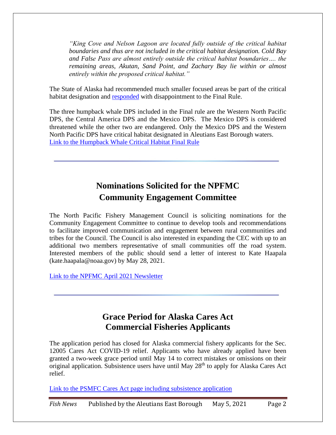*"King Cove and Nelson Lagoon are located fully outside of the critical habitat boundaries and thus are not included in the critical habitat designation. Cold Bay and False Pass are almost entirely outside the critical habitat boundaries…. the remaining areas, Akutan, Sand Point, and Zachary Bay lie within or almost entirely within the proposed critical habitat."*

The State of Alaska had recommended much smaller focused areas be part of the critical habitat designation and [responded](https://www.adfg.alaska.gov/index.cfm?adfg=pressreleases.pr&release=2021_04_20) with disappointment to the Final Rule.

The three humpback whale DPS included in the Final rule are the Western North Pacific DPS, the Central America DPS and the Mexico DPS. The Mexico DPS is considered threatened while the other two are endangered. Only the Mexico DPS and the Western North Pacific DPS have critical habitat designated in Aleutians East Borough waters. [Link to the Humpback Whale Critical Habitat Final Rule](https://www.fisheries.noaa.gov/action/final-rule-designate-critical-habitat-central-america-mexico-and-western-north-pacific)

## **Nominations Solicited for the NPFMC Community Engagement Committee**

The North Pacific Fishery Management Council is soliciting nominations for the Community Engagement Committee to continue to develop tools and recommendations to facilitate improved communication and engagement between rural communities and tribes for the Council. The Council is also interested in expanding the CEC with up to an additional two members representative of small communities off the road system. Interested members of the public should send a letter of interest to Kate Haapala (kate.haapala@noaa.gov) by May 28, 2021.

[Link to the NPFMC April 2021 Newsletter](https://www.npfmc.org/april-2021-newsletter/)

## **Grace Period for Alaska Cares Act Commercial Fisheries Applicants**

The application period has closed for Alaska commercial fishery applicants for the Sec. 12005 Cares Act COVID-19 relief. Applicants who have already applied have been granted a two-week grace period until May 14 to correct mistakes or omissions on their original application. Subsistence users have until May  $28<sup>th</sup>$  to apply for Alaska Cares Act relief.

[Link to the PSMFC Cares Act page including subsistence application](https://www.psmfc.org/cares-act-the-coronavirus-aid-relief-and-economic-security-act)